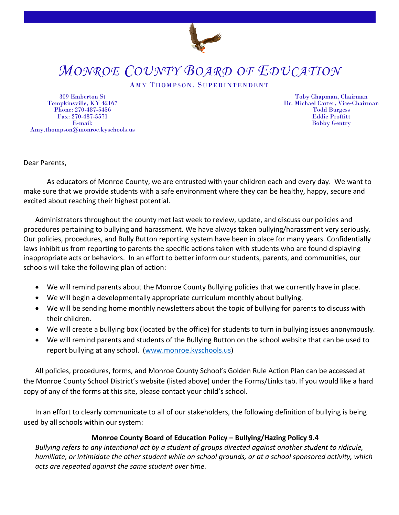

## *MONROE COUNTY BOARD OF EDUCATION*

## AMY THOMPSON, SUPERINTENDENT

309 Emberton St Tompkinsville, KY 42167 Phone: 270-487-5456 Fax: 270-487-5571 E-mail: Amy.thompson@monroe.kyschools.us

Toby Chapman, Chairman Dr. Michael Carter, Vice-Chairman Todd Burgess Eddie Proffitt Bobby Gentry

Dear Parents,

As educators of Monroe County, we are entrusted with your children each and every day. We want to make sure that we provide students with a safe environment where they can be healthy, happy, secure and excited about reaching their highest potential.

Administrators throughout the county met last week to review, update, and discuss our policies and procedures pertaining to bullying and harassment. We have always taken bullying/harassment very seriously. Our policies, procedures, and Bully Button reporting system have been in place for many years. Confidentially laws inhibit us from reporting to parents the specific actions taken with students who are found displaying inappropriate acts or behaviors. In an effort to better inform our students, parents, and communities, our schools will take the following plan of action:

- We will remind parents about the Monroe County Bullying policies that we currently have in place.
- We will begin a developmentally appropriate curriculum monthly about bullying.
- We will be sending home monthly newsletters about the topic of bullying for parents to discuss with their children.
- We will create a bullying box (located by the office) for students to turn in bullying issues anonymously.
- We will remind parents and students of the Bullying Button on the school website that can be used to report bullying at any school. [\(www.monroe.kyschools.us\)](http://www.monroe.kyschools.us/)

All policies, procedures, forms, and Monroe County School's Golden Rule Action Plan can be accessed at the Monroe County School District's website (listed above) under the Forms/Links tab. If you would like a hard copy of any of the forms at this site, please contact your child's school.

In an effort to clearly communicate to all of our stakeholders, the following definition of bullying is being used by all schools within our system:

## **Monroe County Board of Education Policy – Bullying/Hazing Policy 9.4**

*Bullying refers to any intentional act by a student of groups directed against another student to ridicule, humiliate, or intimidate the other student while on school grounds, or at a school sponsored activity, which acts are repeated against the same student over time.*